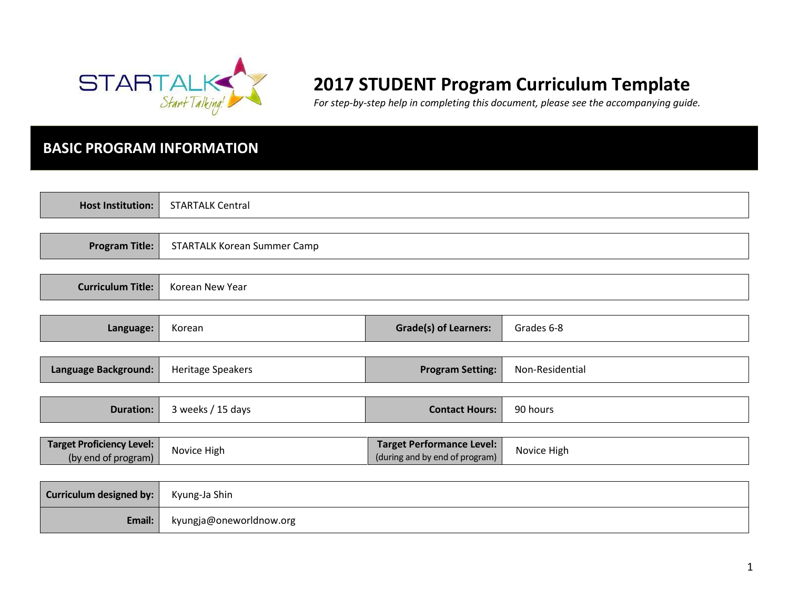

# **2017 STUDENT Program Curriculum Template**

*For step-by-step help in completing this document, please see the accompanying guide.* 

# **BASIC PROGRAM INFORMATION**

| <b>Host Institution:</b>                                | <b>STARTALK Central</b>     |                                                                    |                 |
|---------------------------------------------------------|-----------------------------|--------------------------------------------------------------------|-----------------|
|                                                         |                             |                                                                    |                 |
| <b>Program Title:</b>                                   | STARTALK Korean Summer Camp |                                                                    |                 |
|                                                         |                             |                                                                    |                 |
| <b>Curriculum Title:</b>                                | Korean New Year             |                                                                    |                 |
|                                                         |                             |                                                                    |                 |
| Language:                                               | Korean                      | <b>Grade(s) of Learners:</b>                                       | Grades 6-8      |
|                                                         |                             |                                                                    |                 |
| Language Background:                                    | Heritage Speakers           | <b>Program Setting:</b>                                            | Non-Residential |
|                                                         |                             |                                                                    |                 |
| <b>Duration:</b>                                        | 3 weeks / 15 days           | <b>Contact Hours:</b>                                              | 90 hours        |
|                                                         |                             |                                                                    |                 |
| <b>Target Proficiency Level:</b><br>(by end of program) | Novice High                 | <b>Target Performance Level:</b><br>(during and by end of program) | Novice High     |
|                                                         |                             |                                                                    |                 |
| <b>Curriculum designed by:</b>                          | Kyung-Ja Shin               |                                                                    |                 |
| Email:                                                  | kyungja@oneworldnow.org     |                                                                    |                 |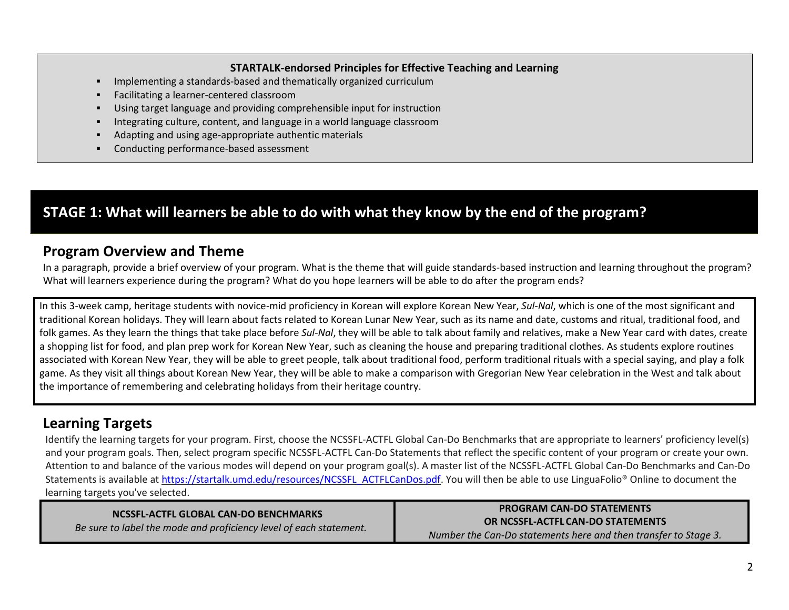#### **STARTALK-endorsed Principles for Effective Teaching and Learning**

- Implementing a standards-based and thematically organized curriculum
- Facilitating a learner-centered classroom
- Using target language and providing comprehensible input for instruction
- Integrating culture, content, and language in a world language classroom
- Adapting and using age-appropriate authentic materials
- **EXECONDUCTING PERITM PERITM CONDUCTS** CONDUCTS **CONDUCTS**

# **STAGE 1: What will learners be able to do with what they know by the end of the program?**

### **Program Overview and Theme**

In a paragraph, provide a brief overview of your program. What is the theme that will guide standards-based instruction and learning throughout the program? What will learners experience during the program? What do you hope learners will be able to do after the program ends?

In this 3-week camp, heritage students with novice-mid proficiency in Korean will explore Korean New Year, *Sul-Nal*, which is one of the most significant and traditional Korean holidays. They will learn about facts related to Korean Lunar New Year, such as its name and date, customs and ritual, traditional food, and folk games. As they learn the things that take place before *Sul-Nal*, they will be able to talk about family and relatives, make a New Year card with dates, create a shopping list for food, and plan prep work for Korean New Year, such as cleaning the house and preparing traditional clothes. As students explore routines associated with Korean New Year, they will be able to greet people, talk about traditional food, perform traditional rituals with a special saying, and play a folk game. As they visit all things about Korean New Year, they will be able to make a comparison with Gregorian New Year celebration in the West and talk about the importance of remembering and celebrating holidays from their heritage country.

# **Learning Targets**

Identify the learning targets for your program. First, choose the NCSSFL-ACTFL Global Can-Do Benchmarks that are appropriate to learners' proficiency level(s) and your program goals. Then, select program specific NCSSFL-ACTFL Can-Do Statements that reflect the specific content of your program or create your own. Attention to and balance of the various modes will depend on your program goal(s). A master list of the NCSSFL-ACTFL Global Can-Do Benchmarks and Can-Do Statements is available at [https://startalk.umd.edu/resources/NCSSFL\\_ACTFLCanDos.pdf.](https://startalk.umd.edu/resources/NCSSFL_ACTFLCanDos.pdf) You will then be able to use LinguaFolio® Online to document the learning targets you've selected.

| NCSSFL-ACTFL GLOBAL CAN-DO BENCHMARKS                              | <b>PROGRAM CAN-DO STATEMENTS</b>                                |
|--------------------------------------------------------------------|-----------------------------------------------------------------|
| Be sure to label the mode and proficiency level of each statement. | OR NCSSFL-ACTFL CAN-DO STATEMENTS                               |
|                                                                    | Number the Can-Do statements here and then transfer to Stage 3. |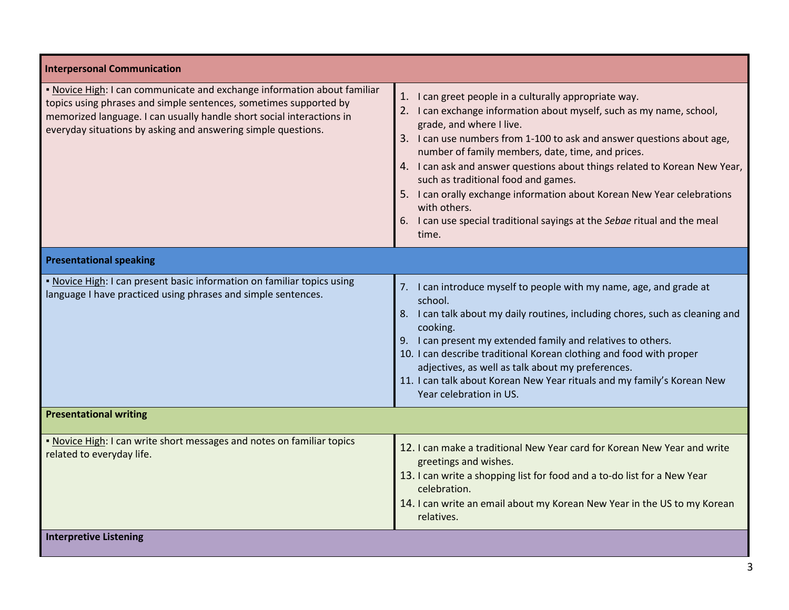| <b>Interpersonal Communication</b>                                                                                                                                                                                                                                                      |                                                                                                                                                                                                                                                                                                                                                                                                                                                                                                                                                                                                 |
|-----------------------------------------------------------------------------------------------------------------------------------------------------------------------------------------------------------------------------------------------------------------------------------------|-------------------------------------------------------------------------------------------------------------------------------------------------------------------------------------------------------------------------------------------------------------------------------------------------------------------------------------------------------------------------------------------------------------------------------------------------------------------------------------------------------------------------------------------------------------------------------------------------|
| . Novice High: I can communicate and exchange information about familiar<br>topics using phrases and simple sentences, sometimes supported by<br>memorized language. I can usually handle short social interactions in<br>everyday situations by asking and answering simple questions. | 1. I can greet people in a culturally appropriate way.<br>2. I can exchange information about myself, such as my name, school,<br>grade, and where I live.<br>3. I can use numbers from 1-100 to ask and answer questions about age,<br>number of family members, date, time, and prices.<br>4. I can ask and answer questions about things related to Korean New Year,<br>such as traditional food and games.<br>5. I can orally exchange information about Korean New Year celebrations<br>with others.<br>6. I can use special traditional sayings at the Sebae ritual and the meal<br>time. |
| <b>Presentational speaking</b>                                                                                                                                                                                                                                                          |                                                                                                                                                                                                                                                                                                                                                                                                                                                                                                                                                                                                 |
| . Novice High: I can present basic information on familiar topics using<br>language I have practiced using phrases and simple sentences.                                                                                                                                                | 7. I can introduce myself to people with my name, age, and grade at<br>school.<br>8. I can talk about my daily routines, including chores, such as cleaning and<br>cooking.<br>9. I can present my extended family and relatives to others.<br>10. I can describe traditional Korean clothing and food with proper<br>adjectives, as well as talk about my preferences.<br>11. I can talk about Korean New Year rituals and my family's Korean New<br>Year celebration in US.                                                                                                                   |
| <b>Presentational writing</b>                                                                                                                                                                                                                                                           |                                                                                                                                                                                                                                                                                                                                                                                                                                                                                                                                                                                                 |
| . Novice High: I can write short messages and notes on familiar topics<br>related to everyday life.                                                                                                                                                                                     | 12. I can make a traditional New Year card for Korean New Year and write<br>greetings and wishes.<br>13. I can write a shopping list for food and a to-do list for a New Year<br>celebration.<br>14. I can write an email about my Korean New Year in the US to my Korean<br>relatives.                                                                                                                                                                                                                                                                                                         |
| <b>Interpretive Listening</b>                                                                                                                                                                                                                                                           |                                                                                                                                                                                                                                                                                                                                                                                                                                                                                                                                                                                                 |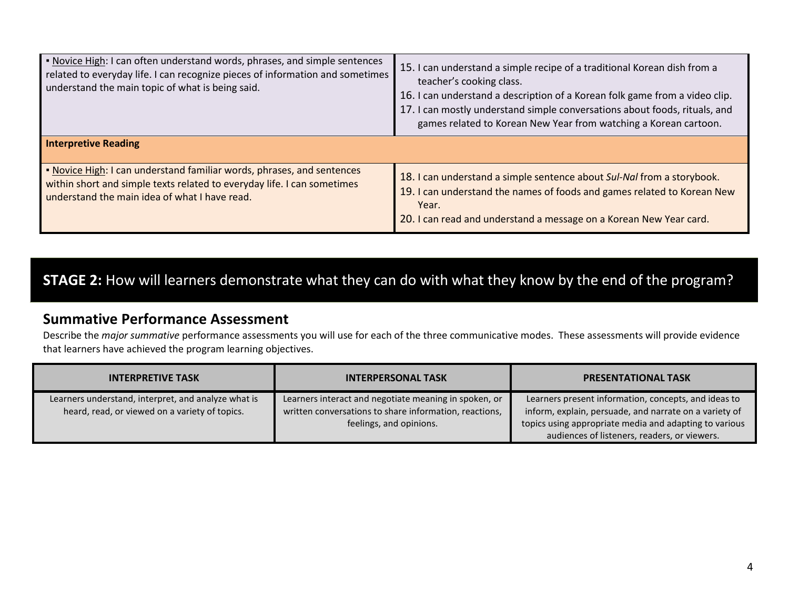| . Novice High: I can often understand words, phrases, and simple sentences<br>related to everyday life. I can recognize pieces of information and sometimes<br>understand the main topic of what is being said. | 15. I can understand a simple recipe of a traditional Korean dish from a<br>teacher's cooking class.<br>16. I can understand a description of a Korean folk game from a video clip.<br>17. I can mostly understand simple conversations about foods, rituals, and<br>games related to Korean New Year from watching a Korean cartoon. |  |
|-----------------------------------------------------------------------------------------------------------------------------------------------------------------------------------------------------------------|---------------------------------------------------------------------------------------------------------------------------------------------------------------------------------------------------------------------------------------------------------------------------------------------------------------------------------------|--|
| <b>Interpretive Reading</b>                                                                                                                                                                                     |                                                                                                                                                                                                                                                                                                                                       |  |
| . Novice High: I can understand familiar words, phrases, and sentences<br>within short and simple texts related to everyday life. I can sometimes<br>understand the main idea of what I have read.              | 18. I can understand a simple sentence about Sul-Nal from a storybook.<br>19. I can understand the names of foods and games related to Korean New<br>Year.<br>20. I can read and understand a message on a Korean New Year card.                                                                                                      |  |

# **STAGE 2:** How will learners demonstrate what they can do with what they know by the end of the program?

### **Summative Performance Assessment**

Describe the *major summative* performance assessments you will use for each of the three communicative modes. These assessments will provide evidence that learners have achieved the program learning objectives.

| <b>INTERPRETIVE TASK</b>                                                                              | <b>INTERPERSONAL TASK</b>                                                                                                                  | <b>PRESENTATIONAL TASK</b>                                                                                                                                                                                               |
|-------------------------------------------------------------------------------------------------------|--------------------------------------------------------------------------------------------------------------------------------------------|--------------------------------------------------------------------------------------------------------------------------------------------------------------------------------------------------------------------------|
| Learners understand, interpret, and analyze what is<br>heard, read, or viewed on a variety of topics. | Learners interact and negotiate meaning in spoken, or<br>written conversations to share information, reactions,<br>feelings, and opinions. | Learners present information, concepts, and ideas to<br>inform, explain, persuade, and narrate on a variety of<br>topics using appropriate media and adapting to various<br>audiences of listeners, readers, or viewers. |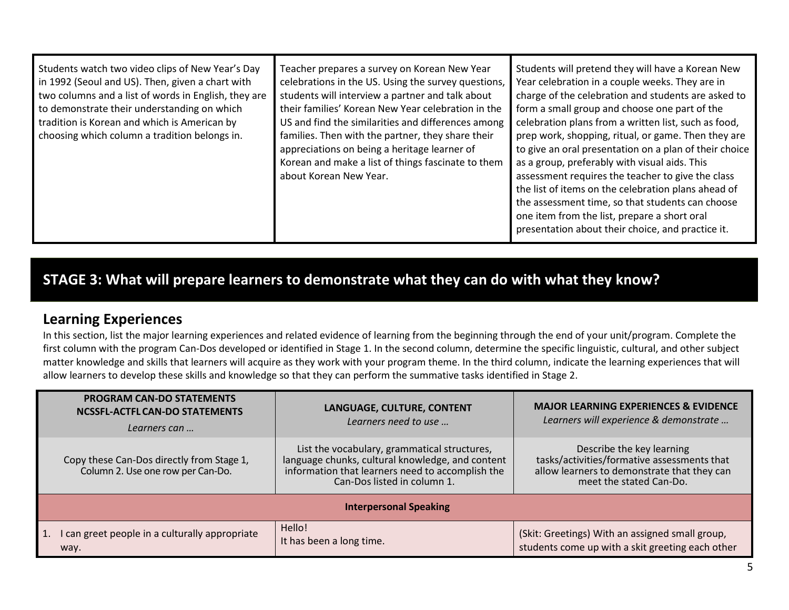| Students watch two video clips of New Year's Day<br>in 1992 (Seoul and US). Then, given a chart with<br>two columns and a list of words in English, they are<br>to demonstrate their understanding on which<br>tradition is Korean and which is American by<br>choosing which column a tradition belongs in. | Teacher prepares a survey on Korean New Year<br>celebrations in the US. Using the survey questions,<br>students will interview a partner and talk about<br>their families' Korean New Year celebration in the<br>US and find the similarities and differences among<br>families. Then with the partner, they share their<br>appreciations on being a heritage learner of<br>Korean and make a list of things fascinate to them<br>about Korean New Year. | Students will pretend they will have a Korean New<br>Year celebration in a couple weeks. They are in<br>charge of the celebration and students are asked to<br>form a small group and choose one part of the<br>celebration plans from a written list, such as food,<br>prep work, shopping, ritual, or game. Then they are<br>to give an oral presentation on a plan of their choice<br>as a group, preferably with visual aids. This<br>assessment requires the teacher to give the class<br>the list of items on the celebration plans ahead of<br>the assessment time, so that students can choose<br>one item from the list, prepare a short oral<br>presentation about their choice, and practice it. |
|--------------------------------------------------------------------------------------------------------------------------------------------------------------------------------------------------------------------------------------------------------------------------------------------------------------|----------------------------------------------------------------------------------------------------------------------------------------------------------------------------------------------------------------------------------------------------------------------------------------------------------------------------------------------------------------------------------------------------------------------------------------------------------|-------------------------------------------------------------------------------------------------------------------------------------------------------------------------------------------------------------------------------------------------------------------------------------------------------------------------------------------------------------------------------------------------------------------------------------------------------------------------------------------------------------------------------------------------------------------------------------------------------------------------------------------------------------------------------------------------------------|
|--------------------------------------------------------------------------------------------------------------------------------------------------------------------------------------------------------------------------------------------------------------------------------------------------------------|----------------------------------------------------------------------------------------------------------------------------------------------------------------------------------------------------------------------------------------------------------------------------------------------------------------------------------------------------------------------------------------------------------------------------------------------------------|-------------------------------------------------------------------------------------------------------------------------------------------------------------------------------------------------------------------------------------------------------------------------------------------------------------------------------------------------------------------------------------------------------------------------------------------------------------------------------------------------------------------------------------------------------------------------------------------------------------------------------------------------------------------------------------------------------------|

# **STAGE 3: What will prepare learners to demonstrate what they can do with what they know?**

# **Learning Experiences**

In this section, list the major learning experiences and related evidence of learning from the beginning through the end of your unit/program. Complete the first column with the program Can-Dos developed or identified in Stage 1. In the second column, determine the specific linguistic, cultural, and other subject matter knowledge and skills that learners will acquire as they work with your program theme. In the third column, indicate the learning experiences that will allow learners to develop these skills and knowledge so that they can perform the summative tasks identified in Stage 2.

|                               | <b>PROGRAM CAN-DO STATEMENTS</b><br>NCSSFL-ACTFL CAN-DO STATEMENTS<br>Learners can | LANGUAGE, CULTURE, CONTENT<br>Learners need to use                                                                                                                                  | <b>MAJOR LEARNING EXPERIENCES &amp; EVIDENCE</b><br>Learners will experience & demonstrate                                                         |
|-------------------------------|------------------------------------------------------------------------------------|-------------------------------------------------------------------------------------------------------------------------------------------------------------------------------------|----------------------------------------------------------------------------------------------------------------------------------------------------|
|                               | Copy these Can-Dos directly from Stage 1,<br>Column 2. Use one row per Can-Do.     | List the vocabulary, grammatical structures,<br>language chunks, cultural knowledge, and content<br>information that learners need to accomplish the<br>Can-Dos listed in column 1. | Describe the key learning<br>tasks/activities/formative assessments that<br>allow learners to demonstrate that they can<br>meet the stated Can-Do. |
| <b>Interpersonal Speaking</b> |                                                                                    |                                                                                                                                                                                     |                                                                                                                                                    |
|                               | I can greet people in a culturally appropriate<br>way.                             | Hello!<br>It has been a long time.                                                                                                                                                  | (Skit: Greetings) With an assigned small group,<br>students come up with a skit greeting each other                                                |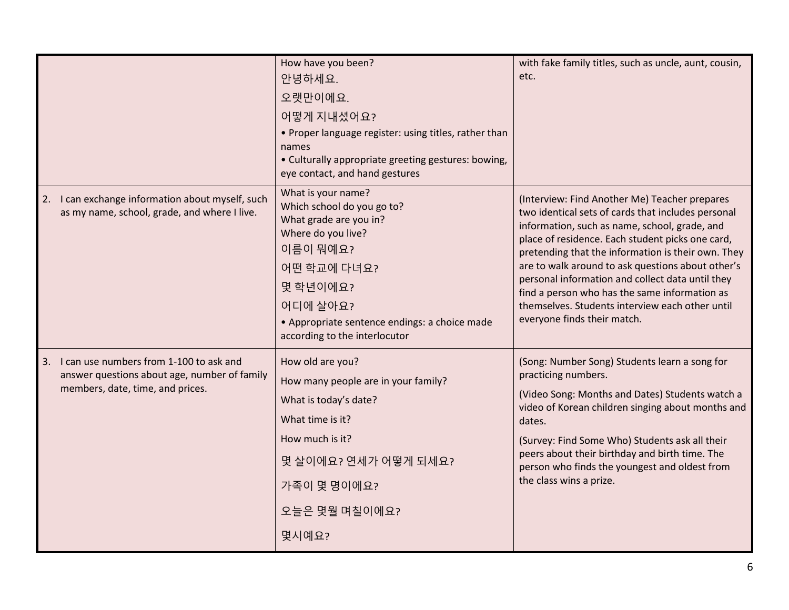|                                                                                                                                | How have you been?<br>안녕하세요.<br>오랫만이에요.<br>어떻게 지내셨어요?<br>• Proper language register: using titles, rather than<br>names<br>• Culturally appropriate greeting gestures: bowing,<br>eye contact, and hand gestures                      | with fake family titles, such as uncle, aunt, cousin,<br>etc.                                                                                                                                                                                                                                                                                                                                                                                                                                              |
|--------------------------------------------------------------------------------------------------------------------------------|---------------------------------------------------------------------------------------------------------------------------------------------------------------------------------------------------------------------------------------|------------------------------------------------------------------------------------------------------------------------------------------------------------------------------------------------------------------------------------------------------------------------------------------------------------------------------------------------------------------------------------------------------------------------------------------------------------------------------------------------------------|
| 2. I can exchange information about myself, such<br>as my name, school, grade, and where I live.                               | What is your name?<br>Which school do you go to?<br>What grade are you in?<br>Where do you live?<br>이름이 뭐예요?<br>어떤 학교에 다녀요?<br>몇 학년이에요?<br>어디에 살아요?<br>• Appropriate sentence endings: a choice made<br>according to the interlocutor | (Interview: Find Another Me) Teacher prepares<br>two identical sets of cards that includes personal<br>information, such as name, school, grade, and<br>place of residence. Each student picks one card,<br>pretending that the information is their own. They<br>are to walk around to ask questions about other's<br>personal information and collect data until they<br>find a person who has the same information as<br>themselves. Students interview each other until<br>everyone finds their match. |
| 3. I can use numbers from 1-100 to ask and<br>answer questions about age, number of family<br>members, date, time, and prices. | How old are you?<br>How many people are in your family?<br>What is today's date?<br>What time is it?<br>How much is it?<br>몇 살이에요? 연세가 어떻게 되세요?<br>가족이 몇 명이에요?<br>오늘은 몇월 며칠이에요?<br>몇시예요?                                              | (Song: Number Song) Students learn a song for<br>practicing numbers.<br>(Video Song: Months and Dates) Students watch a<br>video of Korean children singing about months and<br>dates.<br>(Survey: Find Some Who) Students ask all their<br>peers about their birthday and birth time. The<br>person who finds the youngest and oldest from<br>the class wins a prize.                                                                                                                                     |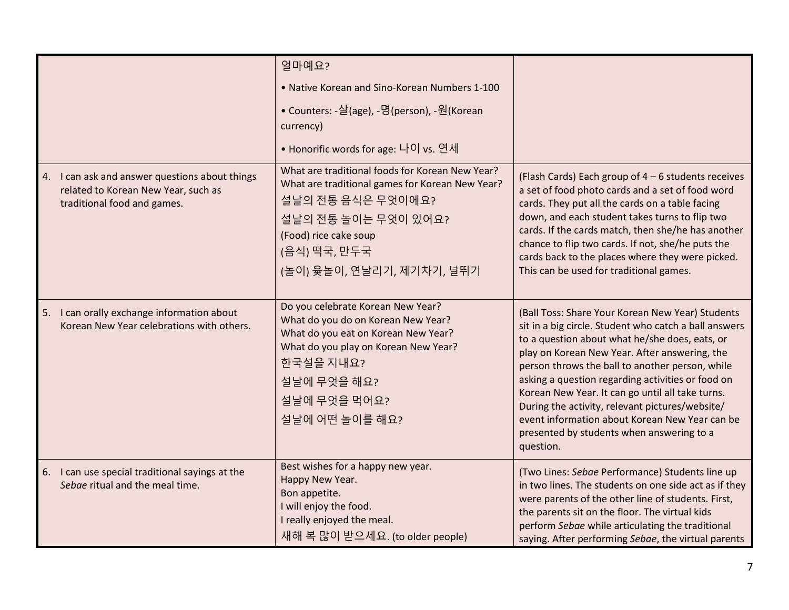|                                                                                                                      | 얼마예요?<br>. Native Korean and Sino-Korean Numbers 1-100<br>• Counters: -살(age), -명(person), -원(Korean<br>currency)<br>• Honorific words for age: 나이 vs. 연세                                                            |                                                                                                                                                                                                                                                                                                                                                                                                                                                                                                                                         |
|----------------------------------------------------------------------------------------------------------------------|----------------------------------------------------------------------------------------------------------------------------------------------------------------------------------------------------------------------|-----------------------------------------------------------------------------------------------------------------------------------------------------------------------------------------------------------------------------------------------------------------------------------------------------------------------------------------------------------------------------------------------------------------------------------------------------------------------------------------------------------------------------------------|
| 4. I can ask and answer questions about things<br>related to Korean New Year, such as<br>traditional food and games. | What are traditional foods for Korean New Year?<br>What are traditional games for Korean New Year?<br>설날의 전통 음식은 무엇이에요?<br>설날의 전통 놀이는 무엇이 있어요?<br>(Food) rice cake soup<br>(음식) 떡국, 만두국<br>(놀이) 윷놀이, 연날리기, 제기차기, 널뛰기 | (Flash Cards) Each group of 4 - 6 students receives<br>a set of food photo cards and a set of food word<br>cards. They put all the cards on a table facing<br>down, and each student takes turns to flip two<br>cards. If the cards match, then she/he has another<br>chance to flip two cards. If not, she/he puts the<br>cards back to the places where they were picked.<br>This can be used for traditional games.                                                                                                                  |
| 5. I can orally exchange information about<br>Korean New Year celebrations with others.                              | Do you celebrate Korean New Year?<br>What do you do on Korean New Year?<br>What do you eat on Korean New Year?<br>What do you play on Korean New Year?<br>한국설을 지내요?<br>설날에 무엇을 해요?<br>설날에 무엇을 먹어요?<br>설날에 어떤 놀이를 해요? | (Ball Toss: Share Your Korean New Year) Students<br>sit in a big circle. Student who catch a ball answers<br>to a question about what he/she does, eats, or<br>play on Korean New Year. After answering, the<br>person throws the ball to another person, while<br>asking a question regarding activities or food on<br>Korean New Year. It can go until all take turns.<br>During the activity, relevant pictures/website/<br>event information about Korean New Year can be<br>presented by students when answering to a<br>question. |
| 6. I can use special traditional sayings at the<br>Sebae ritual and the meal time.                                   | Best wishes for a happy new year.<br>Happy New Year.<br>Bon appetite.<br>I will enjoy the food.<br>I really enjoyed the meal.<br>새해 복 많이 받으세요. (to older people)                                                     | (Two Lines: Sebae Performance) Students line up<br>in two lines. The students on one side act as if they<br>were parents of the other line of students. First,<br>the parents sit on the floor. The virtual kids<br>perform Sebae while articulating the traditional<br>saying. After performing Sebae, the virtual parents                                                                                                                                                                                                             |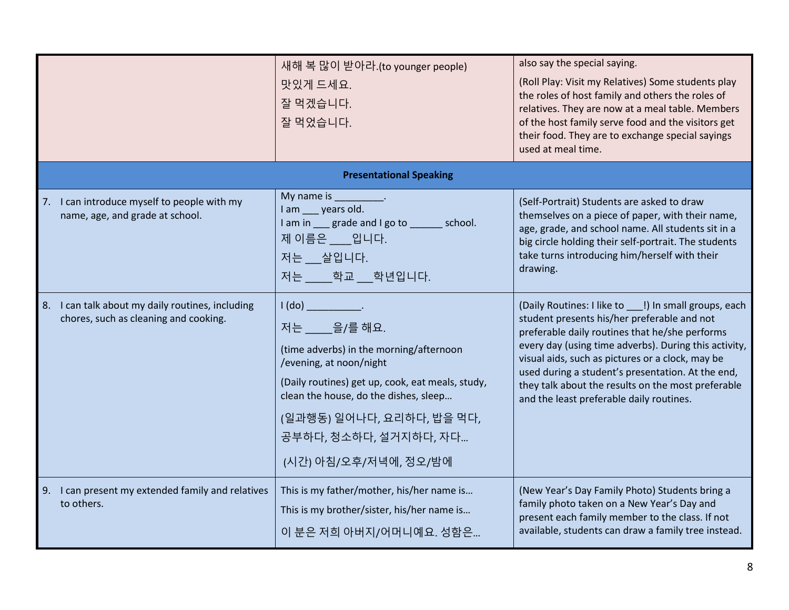|                                                                                           | 새해 복 많이 받아라.(to younger people)<br>맛있게 드세요.<br>잘 먹겠습니다.<br>잘 먹었습니다.                                                                                                                                                                                                                              | also say the special saying.<br>(Roll Play: Visit my Relatives) Some students play<br>the roles of host family and others the roles of<br>relatives. They are now at a meal table. Members<br>of the host family serve food and the visitors get<br>their food. They are to exchange special sayings<br>used at meal time.                                                                                                 |
|-------------------------------------------------------------------------------------------|--------------------------------------------------------------------------------------------------------------------------------------------------------------------------------------------------------------------------------------------------------------------------------------------------|----------------------------------------------------------------------------------------------------------------------------------------------------------------------------------------------------------------------------------------------------------------------------------------------------------------------------------------------------------------------------------------------------------------------------|
|                                                                                           | <b>Presentational Speaking</b>                                                                                                                                                                                                                                                                   |                                                                                                                                                                                                                                                                                                                                                                                                                            |
| 7. I can introduce myself to people with my<br>name, age, and grade at school.            | My name is __________.<br>I am ___ years old.<br>I am in grade and I go to school.<br>제 이름은 일니다.<br>저는 __ 살입니다.<br>저는 학교 학년입니다.                                                                                                                                                                  | (Self-Portrait) Students are asked to draw<br>themselves on a piece of paper, with their name,<br>age, grade, and school name. All students sit in a<br>big circle holding their self-portrait. The students<br>take turns introducing him/herself with their<br>drawing.                                                                                                                                                  |
| 8. I can talk about my daily routines, including<br>chores, such as cleaning and cooking. | I(do)<br>and the contract of the<br>저는 을/를 해요.<br>(time adverbs) in the morning/afternoon<br>/evening, at noon/night<br>(Daily routines) get up, cook, eat meals, study,<br>clean the house, do the dishes, sleep<br>(일과행동) 일어나다, 요리하다, 밥을 먹다,<br>공부하다, 청소하다, 설거지하다, 자다<br>(시간) 아침/오후/저녁에, 정오/밤에 | (Daily Routines: I like to   !) In small groups, each<br>student presents his/her preferable and not<br>preferable daily routines that he/she performs<br>every day (using time adverbs). During this activity,<br>visual aids, such as pictures or a clock, may be<br>used during a student's presentation. At the end,<br>they talk about the results on the most preferable<br>and the least preferable daily routines. |
| 9. I can present my extended family and relatives<br>to others.                           | This is my father/mother, his/her name is<br>This is my brother/sister, his/her name is<br>이 분은 저희 아버지/어머니예요. 성함은                                                                                                                                                                                | (New Year's Day Family Photo) Students bring a<br>family photo taken on a New Year's Day and<br>present each family member to the class. If not<br>available, students can draw a family tree instead.                                                                                                                                                                                                                     |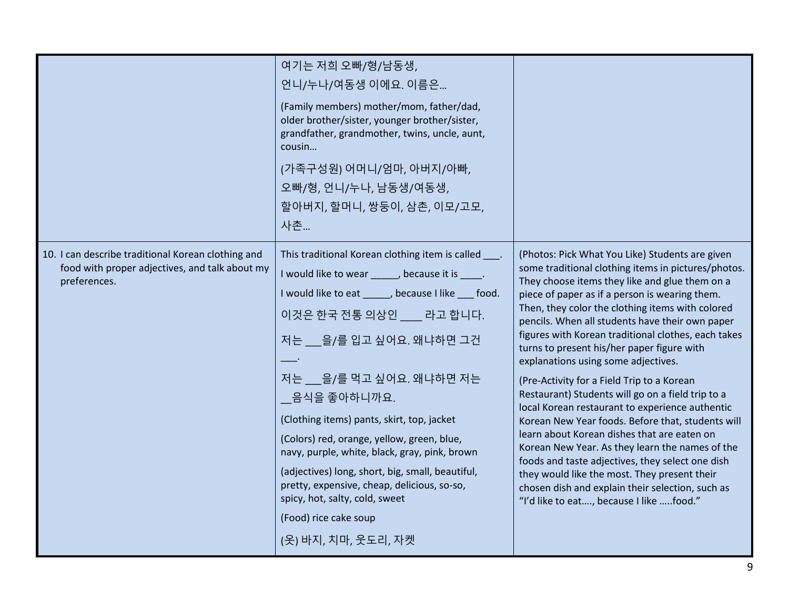|                                                                                                                      | 여기는 저희 오빠/형/남동생,<br>언니/누나/여동생 이에요. 이름은<br>(Family members) mother/mom, father/dad,<br>older brother/sister, younger brother/sister,<br>grandfather, grandmother, twins, uncle, aunt,<br>cousin<br>(가족구성원) 어머니/엄마, 아버지/아빠,<br>오빠/형, 언니/누나, 남동생/여동생,<br>할아버지, 할머니, 쌍둥이, 삼촌, 이모/고모,<br>사촌                                                                                                                                                                                                                                                                                                            |                                                                                                                                                                                                                                                                                                                                                                                                                                                                                                                                                                                                                                                                                                                                                                                                                                                                                                                                                                               |
|----------------------------------------------------------------------------------------------------------------------|---------------------------------------------------------------------------------------------------------------------------------------------------------------------------------------------------------------------------------------------------------------------------------------------------------------------------------------------------------------------------------------------------------------------------------------------------------------------------------------------------------------------------------------------------------------------------------------------------|-------------------------------------------------------------------------------------------------------------------------------------------------------------------------------------------------------------------------------------------------------------------------------------------------------------------------------------------------------------------------------------------------------------------------------------------------------------------------------------------------------------------------------------------------------------------------------------------------------------------------------------------------------------------------------------------------------------------------------------------------------------------------------------------------------------------------------------------------------------------------------------------------------------------------------------------------------------------------------|
| 10. I can describe traditional Korean clothing and<br>food with proper adjectives, and talk about my<br>preferences. | This traditional Korean clothing item is called ____.<br>I would like to wear _____, because it is ____.<br>I would like to eat ______, because I like ___ food.<br>이것은 한국 전통 의상인 __ 라고 합니다.<br>저는 을/를 입고 싶어요. 왜냐하면 그건<br>저는 을/를 먹고 싶어요. 왜냐하면 저는<br>음식을 좋아하니까요.<br>(Clothing items) pants, skirt, top, jacket<br>(Colors) red, orange, yellow, green, blue,<br>navy, purple, white, black, gray, pink, brown<br>(adjectives) long, short, big, small, beautiful,<br>pretty, expensive, cheap, delicious, so-so,<br>spicy, hot, salty, cold, sweet<br>(Food) rice cake soup<br>(옷) 바지, 치마, 웃도리, 자켓 | (Photos: Pick What You Like) Students are given<br>some traditional clothing items in pictures/photos.<br>They choose items they like and glue them on a<br>piece of paper as if a person is wearing them.<br>Then, they color the clothing items with colored<br>pencils. When all students have their own paper<br>figures with Korean traditional clothes, each takes<br>turns to present his/her paper figure with<br>explanations using some adjectives.<br>(Pre-Activity for a Field Trip to a Korean<br>Restaurant) Students will go on a field trip to a<br>local Korean restaurant to experience authentic<br>Korean New Year foods. Before that, students will<br>learn about Korean dishes that are eaten on<br>Korean New Year. As they learn the names of the<br>foods and taste adjectives, they select one dish<br>they would like the most. They present their<br>chosen dish and explain their selection, such as<br>"I'd like to eat, because I like food." |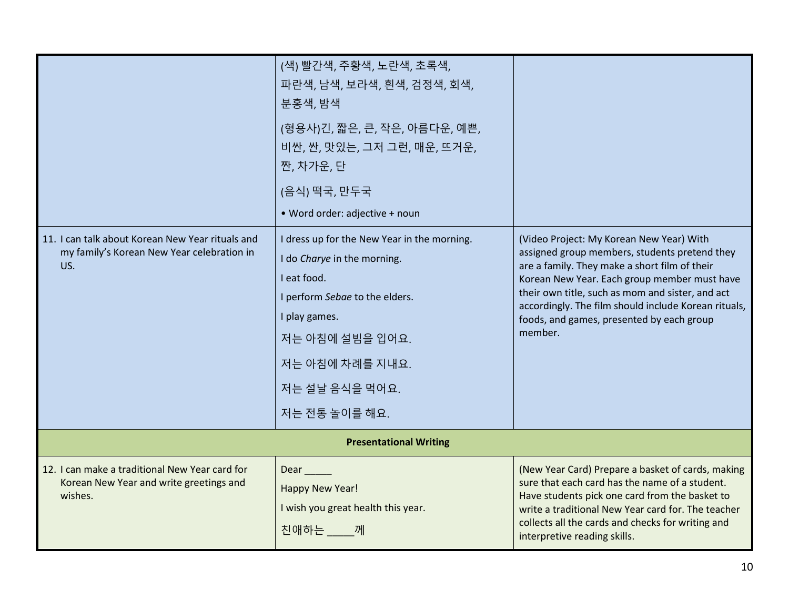|                                                                                                       | (색) 빨간색, 주황색, 노란색, 초록색,<br>파란색, 남색, 보라색, 흰색, 검정색, 회색,<br>분홍색, 밤색                                                                                                                                                      |                                                                                                                                                                                                                                                                                                                                                                |  |
|-------------------------------------------------------------------------------------------------------|-----------------------------------------------------------------------------------------------------------------------------------------------------------------------------------------------------------------------|----------------------------------------------------------------------------------------------------------------------------------------------------------------------------------------------------------------------------------------------------------------------------------------------------------------------------------------------------------------|--|
|                                                                                                       | (형용사)긴, 짧은, 큰, 작은, 아름다운, 예쁜,<br>비싼, 싼, 맛있는, 그저 그런, 매운, 뜨거운,<br>짠, 차가운, 단                                                                                                                                              |                                                                                                                                                                                                                                                                                                                                                                |  |
|                                                                                                       | (음식) 떡국, 만두국                                                                                                                                                                                                          |                                                                                                                                                                                                                                                                                                                                                                |  |
|                                                                                                       | • Word order: adjective + noun                                                                                                                                                                                        |                                                                                                                                                                                                                                                                                                                                                                |  |
| 11. I can talk about Korean New Year rituals and<br>my family's Korean New Year celebration in<br>US. | I dress up for the New Year in the morning.<br>I do Charye in the morning.<br>I eat food.<br>I perform Sebae to the elders.<br>I play games.<br>저는 아침에 설빔을 입어요.<br>저는 아침에 차례를 지내요.<br>저는 설날 음식을 먹어요.<br>저는 전통 놀이를 해요. | (Video Project: My Korean New Year) With<br>assigned group members, students pretend they<br>are a family. They make a short film of their<br>Korean New Year. Each group member must have<br>their own title, such as mom and sister, and act<br>accordingly. The film should include Korean rituals,<br>foods, and games, presented by each group<br>member. |  |
| <b>Presentational Writing</b>                                                                         |                                                                                                                                                                                                                       |                                                                                                                                                                                                                                                                                                                                                                |  |
| 12. I can make a traditional New Year card for<br>Korean New Year and write greetings and<br>wishes.  | $Dear$ <sub>___</sub><br>Happy New Year!<br>I wish you great health this year.<br>친애하는 께                                                                                                                              | (New Year Card) Prepare a basket of cards, making<br>sure that each card has the name of a student.<br>Have students pick one card from the basket to<br>write a traditional New Year card for. The teacher<br>collects all the cards and checks for writing and<br>interpretive reading skills.                                                               |  |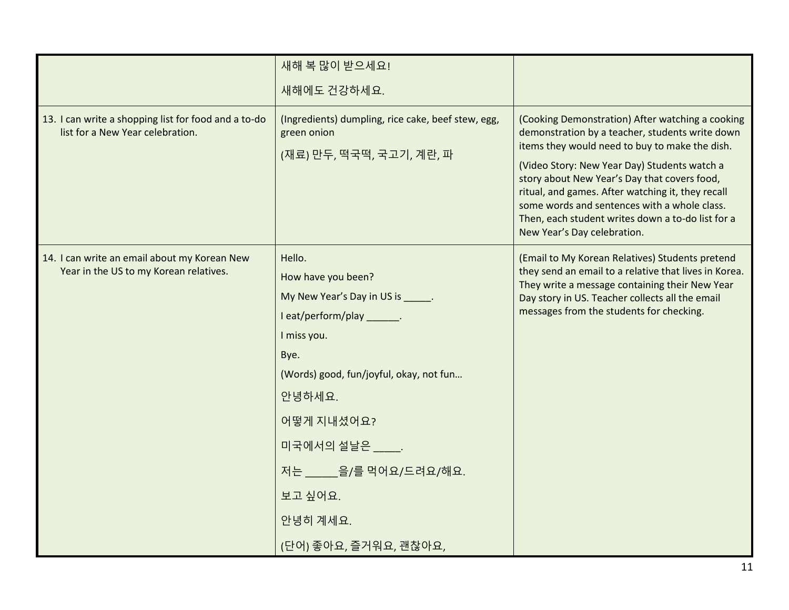|                                                                                          | 새해 복 많이 받으세요!                                                                                                                                                                                                                                                                              |                                                                                                                                                                                                                                                                                                                                                                                                                                                |
|------------------------------------------------------------------------------------------|--------------------------------------------------------------------------------------------------------------------------------------------------------------------------------------------------------------------------------------------------------------------------------------------|------------------------------------------------------------------------------------------------------------------------------------------------------------------------------------------------------------------------------------------------------------------------------------------------------------------------------------------------------------------------------------------------------------------------------------------------|
|                                                                                          | 새해에도 건강하세요.                                                                                                                                                                                                                                                                                |                                                                                                                                                                                                                                                                                                                                                                                                                                                |
| 13. I can write a shopping list for food and a to-do<br>list for a New Year celebration. | (Ingredients) dumpling, rice cake, beef stew, egg,<br>green onion<br>(재료) 만두, 떡국떡, 국고기, 계란, 파                                                                                                                                                                                              | (Cooking Demonstration) After watching a cooking<br>demonstration by a teacher, students write down<br>items they would need to buy to make the dish.<br>(Video Story: New Year Day) Students watch a<br>story about New Year's Day that covers food,<br>ritual, and games. After watching it, they recall<br>some words and sentences with a whole class.<br>Then, each student writes down a to-do list for a<br>New Year's Day celebration. |
| 14. I can write an email about my Korean New<br>Year in the US to my Korean relatives.   | Hello.<br>How have you been?<br>My New Year's Day in US is _____.<br>I eat/perform/play _______.<br>I miss you.<br>Bye.<br>(Words) good, fun/joyful, okay, not fun<br>안녕하세요.<br>어떻게 지내셨어요?<br>미국에서의 설날은 _____.<br>저는 _____ 을/를 먹어요/드려요/해요.<br>보고 싶어요.<br>안녕히 계세요.<br>(단어) 좋아요, 즐거워요, 괜찮아요, | (Email to My Korean Relatives) Students pretend<br>they send an email to a relative that lives in Korea.<br>They write a message containing their New Year<br>Day story in US. Teacher collects all the email<br>messages from the students for checking.                                                                                                                                                                                      |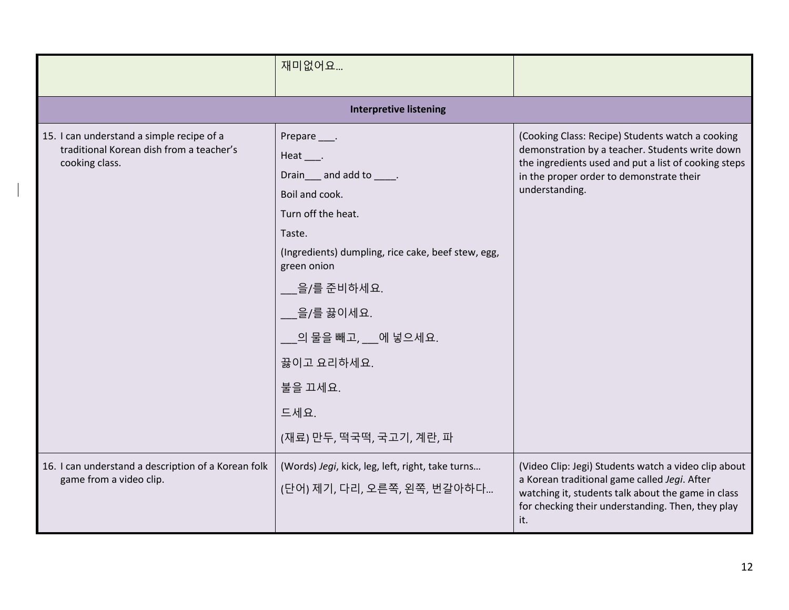|                                                                                                         | 재미없어요                                                                                                                                                                                                                                                                                         |                                                                                                                                                                                                                           |  |
|---------------------------------------------------------------------------------------------------------|-----------------------------------------------------------------------------------------------------------------------------------------------------------------------------------------------------------------------------------------------------------------------------------------------|---------------------------------------------------------------------------------------------------------------------------------------------------------------------------------------------------------------------------|--|
| <b>Interpretive listening</b>                                                                           |                                                                                                                                                                                                                                                                                               |                                                                                                                                                                                                                           |  |
| 15. I can understand a simple recipe of a<br>traditional Korean dish from a teacher's<br>cooking class. | Prepare ____.<br>Heat .<br>Drain and add to _____.<br>Boil and cook.<br>Turn off the heat.<br>Taste.<br>(Ingredients) dumpling, rice cake, beef stew, egg,<br>green onion<br>을/를 준비하세요.<br>__을/를 끓이세요.<br>___의 물을 빼고, ___에 넣으세요.<br>끓이고 요리하세요.<br>불을 끄세요.<br>드세요.<br>(재료) 만두, 떡국떡, 국고기, 계란, 파 | (Cooking Class: Recipe) Students watch a cooking<br>demonstration by a teacher. Students write down<br>the ingredients used and put a list of cooking steps<br>in the proper order to demonstrate their<br>understanding. |  |
| 16. I can understand a description of a Korean folk<br>game from a video clip.                          | (Words) Jegi, kick, leg, left, right, take turns<br>(단어) 제기, 다리, 오른쪽, 왼쪽, 번갈아하다                                                                                                                                                                                                               | (Video Clip: Jegi) Students watch a video clip about<br>a Korean traditional game called Jegi. After<br>watching it, students talk about the game in class<br>for checking their understanding. Then, they play<br>it.    |  |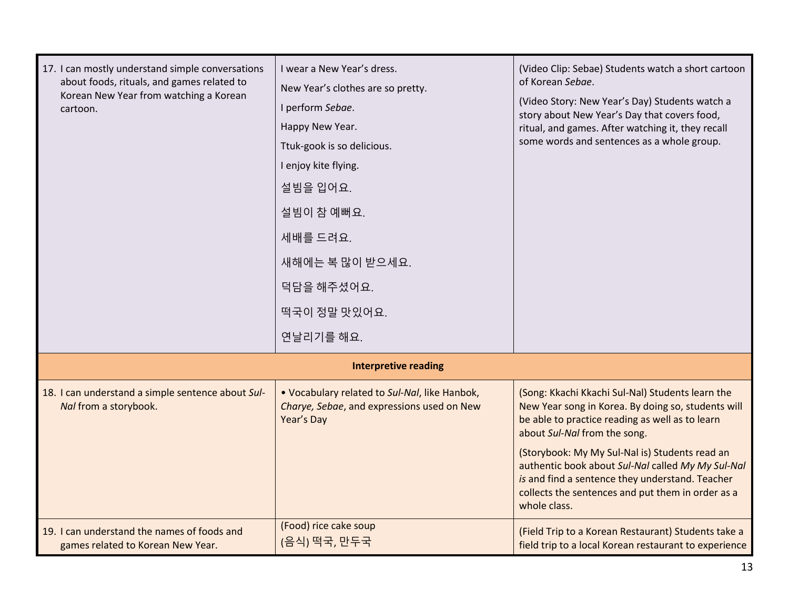| 17. I can mostly understand simple conversations<br>about foods, rituals, and games related to<br>Korean New Year from watching a Korean<br>cartoon. | I wear a New Year's dress.<br>New Year's clothes are so pretty.<br>I perform Sebae.<br>Happy New Year.<br>Ttuk-gook is so delicious.<br>I enjoy kite flying.<br>설빔을 입어요.<br>설빔이 참 예뻐요.<br>세배를 드려요.<br>새해에는 복 많이 받으세요.<br>덕담을 해주셨어요.<br>떡국이 정말 맛있어요.<br>연날리기를 해요. | (Video Clip: Sebae) Students watch a short cartoon<br>of Korean Sebae.<br>(Video Story: New Year's Day) Students watch a<br>story about New Year's Day that covers food,<br>ritual, and games. After watching it, they recall<br>some words and sentences as a whole group.                                                                                                                                              |
|------------------------------------------------------------------------------------------------------------------------------------------------------|------------------------------------------------------------------------------------------------------------------------------------------------------------------------------------------------------------------------------------------------------------------|--------------------------------------------------------------------------------------------------------------------------------------------------------------------------------------------------------------------------------------------------------------------------------------------------------------------------------------------------------------------------------------------------------------------------|
| <b>Interpretive reading</b>                                                                                                                          |                                                                                                                                                                                                                                                                  |                                                                                                                                                                                                                                                                                                                                                                                                                          |
| 18. I can understand a simple sentence about Sul-<br>Nal from a storybook.                                                                           | . Vocabulary related to Sul-Nal, like Hanbok,<br>Charye, Sebae, and expressions used on New<br>Year's Day                                                                                                                                                        | (Song: Kkachi Kkachi Sul-Nal) Students learn the<br>New Year song in Korea. By doing so, students will<br>be able to practice reading as well as to learn<br>about Sul-Nal from the song.<br>(Storybook: My My Sul-Nal is) Students read an<br>authentic book about Sul-Nal called My My Sul-Nal<br>is and find a sentence they understand. Teacher<br>collects the sentences and put them in order as a<br>whole class. |
| 19. I can understand the names of foods and<br>games related to Korean New Year.                                                                     | (Food) rice cake soup<br>(음식) 떡국, 만두국                                                                                                                                                                                                                            | (Field Trip to a Korean Restaurant) Students take a<br>field trip to a local Korean restaurant to experience                                                                                                                                                                                                                                                                                                             |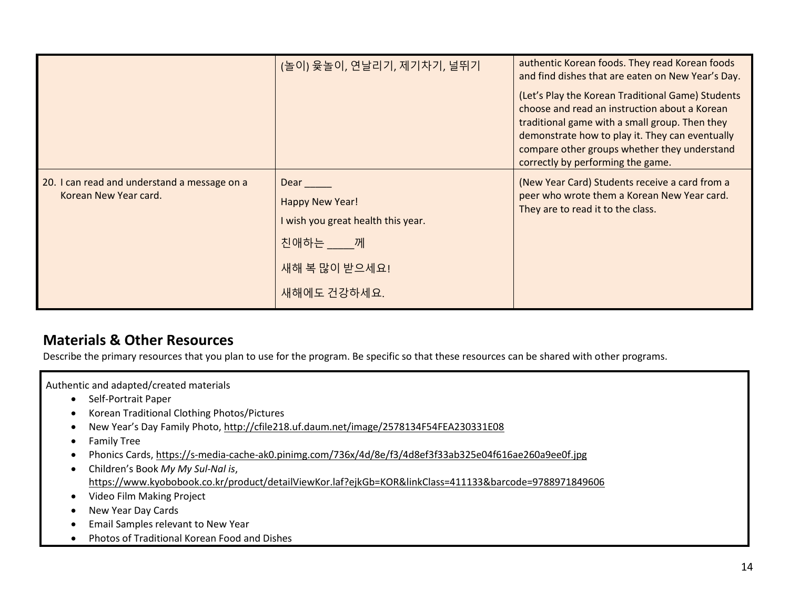|                                                                       | (놀이) 윷놀이, 연날리기, 제기차기, 널뛰기                                                                                    | authentic Korean foods. They read Korean foods<br>and find dishes that are eaten on New Year's Day.<br>(Let's Play the Korean Traditional Game) Students<br>choose and read an instruction about a Korean<br>traditional game with a small group. Then they<br>demonstrate how to play it. They can eventually<br>compare other groups whether they understand<br>correctly by performing the game. |
|-----------------------------------------------------------------------|--------------------------------------------------------------------------------------------------------------|-----------------------------------------------------------------------------------------------------------------------------------------------------------------------------------------------------------------------------------------------------------------------------------------------------------------------------------------------------------------------------------------------------|
| 20. I can read and understand a message on a<br>Korean New Year card. | Dear ____<br>Happy New Year!<br>I wish you great health this year.<br>친애하는 께<br>새해 복 많이 받으세요!<br>새해에도 건강하세요. | (New Year Card) Students receive a card from a<br>peer who wrote them a Korean New Year card.<br>They are to read it to the class.                                                                                                                                                                                                                                                                  |

# **Materials & Other Resources**

Describe the primary resources that you plan to use for the program. Be specific so that these resources can be shared with other programs.

Authentic and adapted/created materials

- Self-Portrait Paper
- Korean Traditional Clothing Photos/Pictures
- New Year's Day Family Photo, http://cfile218.uf.daum.net/image/2578134F54FEA230331E08
- Family Tree
- Phonics Cards, https://s-media-cache-ak0.pinimg.com/736x/4d/8e/f3/4d8ef3f33ab325e04f616ae260a9ee0f.jpg
- Children's Book *My My Sul-Nal is*, https://www.kyobobook.co.kr/product/detailViewKor.laf?ejkGb=KOR&linkClass=411133&barcode=9788971849606
- Video Film Making Project
- New Year Day Cards
- Email Samples relevant to New Year
- Photos of Traditional Korean Food and Dishes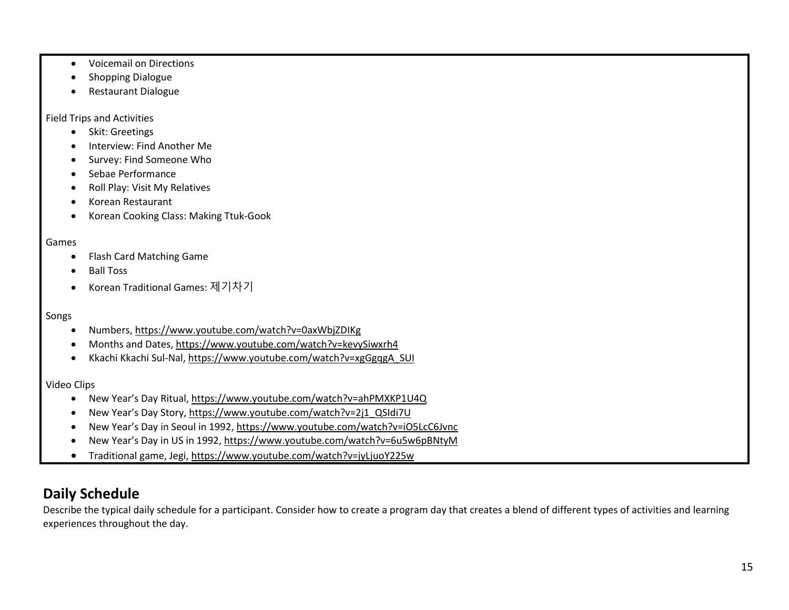- Voicemail on Directions
- Shopping Dialogue
- Restaurant Dialogue

Field Trips and Activities

- Skit: Greetings
- Interview: Find Another Me
- Survey: Find Someone Who
- Sebae Performance
- Roll Play: Visit My Relatives
- Korean Restaurant
- Korean Cooking Class: Making Ttuk-Gook

#### Games

- Flash Card Matching Game
- Ball Toss
- Korean Traditional Games: 제기차기

#### Songs

- Numbers, https://www.youtube.com/watch?v=0axWbjZDIKg
- Months and Dates[, https://www.youtube.com/watch?v=kevySiwxrh4](https://www.youtube.com/watch?v=kevySiwxrh4)
- Kkachi Kkachi Sul-Nal, https://www.youtube.com/watch?v=xgGgqgA\_SUI

#### Video Clips

- New Year's Day Ritual, <https://www.youtube.com/watch?v=ahPMXKP1U4Q>
- New Year's Day Story, https://www.youtube.com/watch?v=2j1\_QSIdi7U
- New Year's Day in Seoul in 1992, https://www.youtube.com/watch?v=iO5LcC6Jvnc
- New Year's Day in US in 1992[, https://www.youtube.com/watch?v=6u5w6pBNtyM](https://www.youtube.com/watch?v=6u5w6pBNtyM)
- Traditional game, Jegi, https://www.youtube.com/watch?v=jyLjuoY225w

# **Daily Schedule**

Describe the typical daily schedule for a participant. Consider how to create a program day that creates a blend of different types of activities and learning experiences throughout the day.